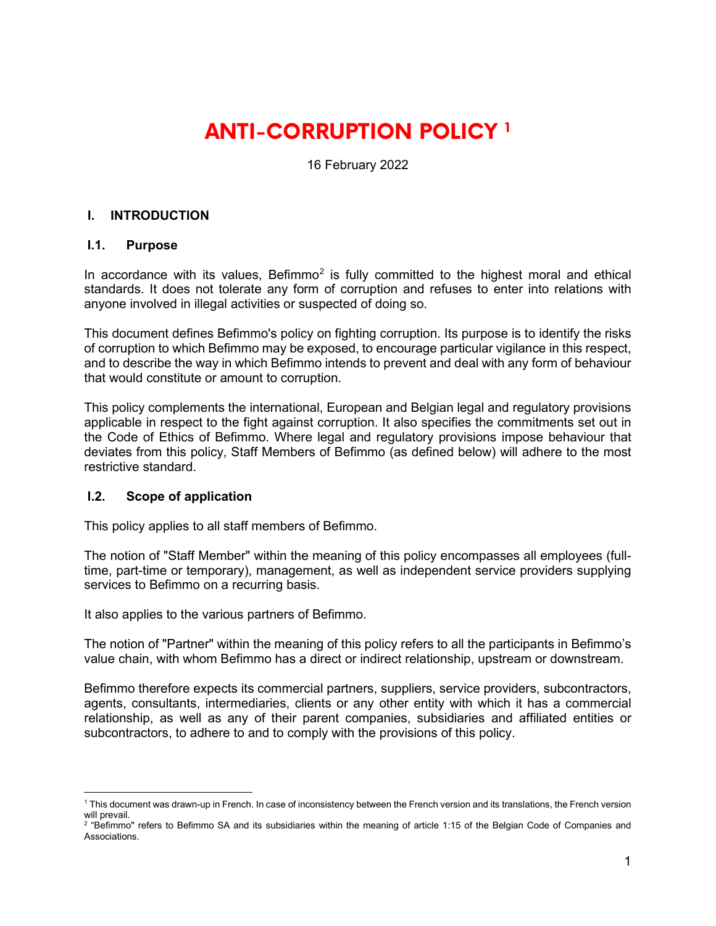# **ANTI-CORRUPTION POLICY [1](#page-0-0)**

16 February 2022

#### **I. INTRODUCTION**

#### **I.1. Purpose**

In accordance with its values, Befimmo<sup>2</sup> is fully committed to the highest moral and ethical standards. It does not tolerate any form of corruption and refuses to enter into relations with anyone involved in illegal activities or suspected of doing so.

This document defines Befimmo's policy on fighting corruption. Its purpose is to identify the risks of corruption to which Befimmo may be exposed, to encourage particular vigilance in this respect, and to describe the way in which Befimmo intends to prevent and deal with any form of behaviour that would constitute or amount to corruption.

This policy complements the international, European and Belgian legal and regulatory provisions applicable in respect to the fight against corruption. It also specifies the commitments set out in the Code of Ethics of Befimmo. Where legal and regulatory provisions impose behaviour that deviates from this policy, Staff Members of Befimmo (as defined below) will adhere to the most restrictive standard.

#### **I.2. Scope of application**

This policy applies to all staff members of Befimmo.

The notion of "Staff Member" within the meaning of this policy encompasses all employees (fulltime, part-time or temporary), management, as well as independent service providers supplying services to Befimmo on a recurring basis.

It also applies to the various partners of Befimmo.

The notion of "Partner" within the meaning of this policy refers to all the participants in Befimmo's value chain, with whom Befimmo has a direct or indirect relationship, upstream or downstream.

Befimmo therefore expects its commercial partners, suppliers, service providers, subcontractors, agents, consultants, intermediaries, clients or any other entity with which it has a commercial relationship, as well as any of their parent companies, subsidiaries and affiliated entities or subcontractors, to adhere to and to comply with the provisions of this policy.

<span id="page-0-0"></span><sup>1</sup> This document was drawn-up in French. In case of inconsistency between the French version and its translations, the French version will prevail.

<span id="page-0-1"></span> $2$  "Befimmo" refers to Befimmo SA and its subsidiaries within the meaning of article 1:15 of the Belgian Code of Companies and Associations.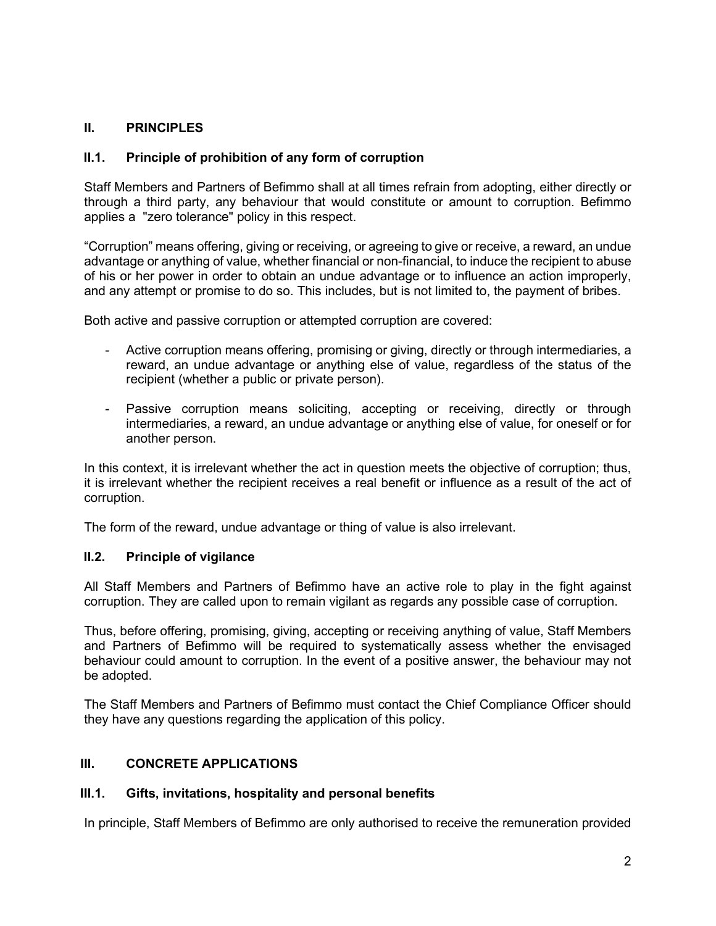### **II. PRINCIPLES**

#### **II.1. Principle of prohibition of any form of corruption**

Staff Members and Partners of Befimmo shall at all times refrain from adopting, either directly or through a third party, any behaviour that would constitute or amount to corruption. Befimmo applies a "zero tolerance" policy in this respect.

"Corruption" means offering, giving or receiving, or agreeing to give or receive, a reward, an undue advantage or anything of value, whether financial or non-financial, to induce the recipient to abuse of his or her power in order to obtain an undue advantage or to influence an action improperly, and any attempt or promise to do so. This includes, but is not limited to, the payment of bribes.

Both active and passive corruption or attempted corruption are covered:

- Active corruption means offering, promising or giving, directly or through intermediaries, a reward, an undue advantage or anything else of value, regardless of the status of the recipient (whether a public or private person).
- Passive corruption means soliciting, accepting or receiving, directly or through intermediaries, a reward, an undue advantage or anything else of value, for oneself or for another person.

In this context, it is irrelevant whether the act in question meets the objective of corruption; thus, it is irrelevant whether the recipient receives a real benefit or influence as a result of the act of corruption.

The form of the reward, undue advantage or thing of value is also irrelevant.

#### **II.2. Principle of vigilance**

All Staff Members and Partners of Befimmo have an active role to play in the fight against corruption. They are called upon to remain vigilant as regards any possible case of corruption.

Thus, before offering, promising, giving, accepting or receiving anything of value, Staff Members and Partners of Befimmo will be required to systematically assess whether the envisaged behaviour could amount to corruption. In the event of a positive answer, the behaviour may not be adopted.

The Staff Members and Partners of Befimmo must contact the Chief Compliance Officer should they have any questions regarding the application of this policy.

#### **III. CONCRETE APPLICATIONS**

#### **III.1. Gifts, invitations, hospitality and personal benefits**

In principle, Staff Members of Befimmo are only authorised to receive the remuneration provided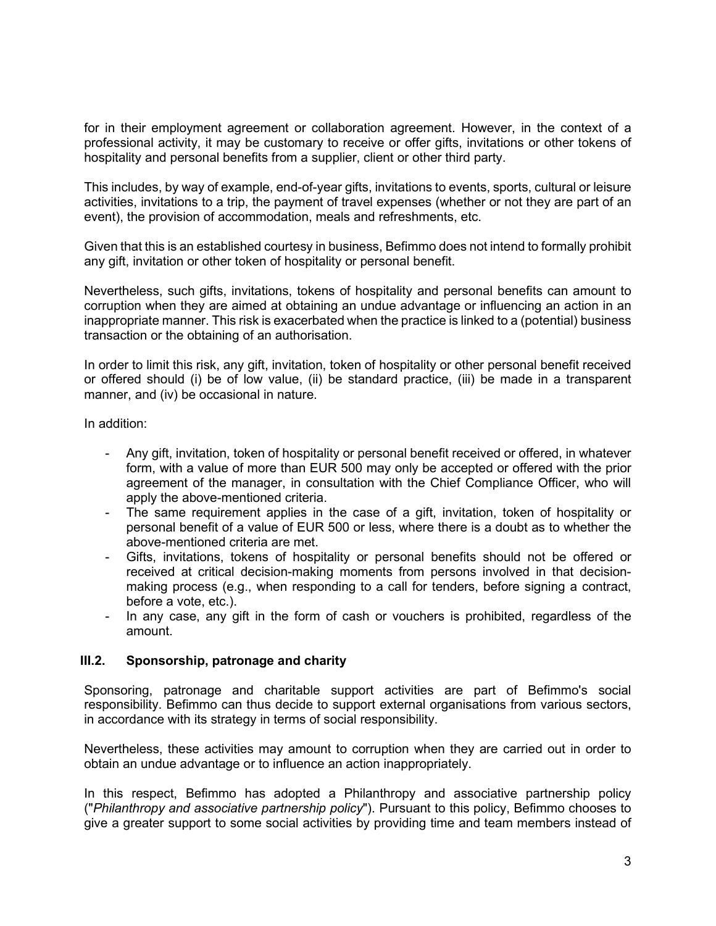for in their employment agreement or collaboration agreement. However, in the context of a professional activity, it may be customary to receive or offer gifts, invitations or other tokens of hospitality and personal benefits from a supplier, client or other third party.

This includes, by way of example, end-of-year gifts, invitations to events, sports, cultural or leisure activities, invitations to a trip, the payment of travel expenses (whether or not they are part of an event), the provision of accommodation, meals and refreshments, etc.

Given that this is an established courtesy in business, Befimmo does not intend to formally prohibit any gift, invitation or other token of hospitality or personal benefit.

Nevertheless, such gifts, invitations, tokens of hospitality and personal benefits can amount to corruption when they are aimed at obtaining an undue advantage or influencing an action in an inappropriate manner. This risk is exacerbated when the practice is linked to a (potential) business transaction or the obtaining of an authorisation.

In order to limit this risk, any gift, invitation, token of hospitality or other personal benefit received or offered should (i) be of low value, (ii) be standard practice, (iii) be made in a transparent manner, and (iv) be occasional in nature.

In addition:

- Any gift, invitation, token of hospitality or personal benefit received or offered, in whatever form, with a value of more than EUR 500 may only be accepted or offered with the prior agreement of the manager, in consultation with the Chief Compliance Officer, who will apply the above-mentioned criteria.
- The same requirement applies in the case of a gift, invitation, token of hospitality or personal benefit of a value of EUR 500 or less, where there is a doubt as to whether the above-mentioned criteria are met.
- Gifts, invitations, tokens of hospitality or personal benefits should not be offered or received at critical decision-making moments from persons involved in that decisionmaking process (e.g., when responding to a call for tenders, before signing a contract, before a vote, etc.).
- In any case, any gift in the form of cash or vouchers is prohibited, regardless of the amount.

#### **III.2. Sponsorship, patronage and charity**

Sponsoring, patronage and charitable support activities are part of Befimmo's social responsibility. Befimmo can thus decide to support external organisations from various sectors, in accordance with its strategy in terms of social responsibility.

Nevertheless, these activities may amount to corruption when they are carried out in order to obtain an undue advantage or to influence an action inappropriately.

In this respect, Befimmo has adopted a Philanthropy and associative partnership policy ("*Philanthropy and associative partnership policy*"). Pursuant to this policy, Befimmo chooses to give a greater support to some social activities by providing time and team members instead of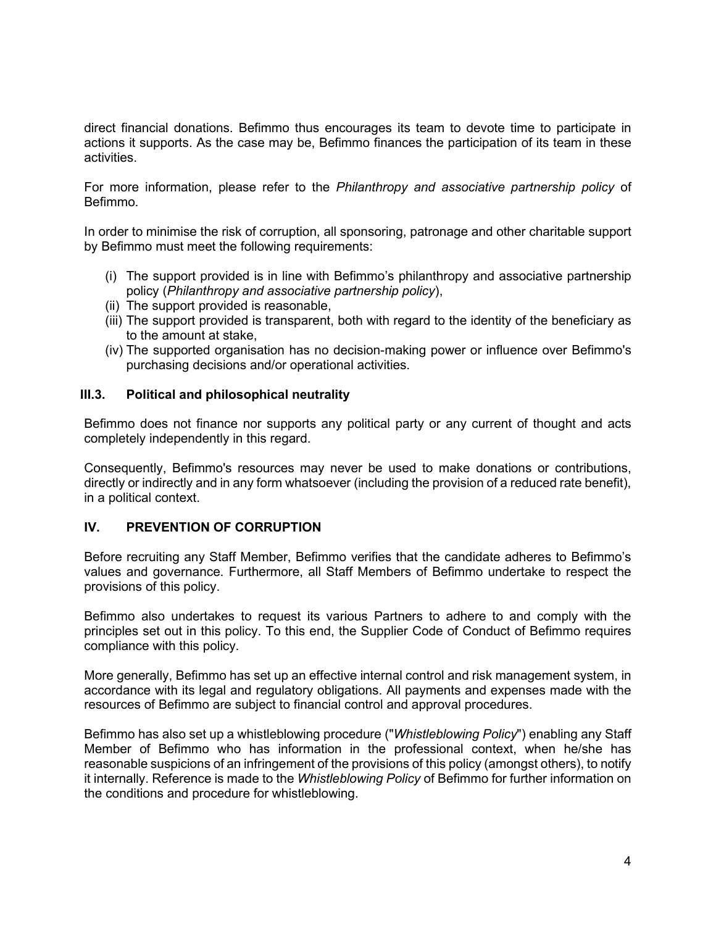direct financial donations. Befimmo thus encourages its team to devote time to participate in actions it supports. As the case may be, Befimmo finances the participation of its team in these activities.

For more information, please refer to the *Philanthropy and associative partnership policy* of Befimmo.

In order to minimise the risk of corruption, all sponsoring, patronage and other charitable support by Befimmo must meet the following requirements:

- (i) The support provided is in line with Befimmo's philanthropy and associative partnership policy (*Philanthropy and associative partnership policy*),
- (ii) The support provided is reasonable,
- (iii) The support provided is transparent, both with regard to the identity of the beneficiary as to the amount at stake,
- (iv) The supported organisation has no decision-making power or influence over Befimmo's purchasing decisions and/or operational activities.

#### **III.3. Political and philosophical neutrality**

Befimmo does not finance nor supports any political party or any current of thought and acts completely independently in this regard.

Consequently, Befimmo's resources may never be used to make donations or contributions, directly or indirectly and in any form whatsoever (including the provision of a reduced rate benefit), in a political context.

#### **IV. PREVENTION OF CORRUPTION**

Before recruiting any Staff Member, Befimmo verifies that the candidate adheres to Befimmo's values and governance. Furthermore, all Staff Members of Befimmo undertake to respect the provisions of this policy.

Befimmo also undertakes to request its various Partners to adhere to and comply with the principles set out in this policy. To this end, the Supplier Code of Conduct of Befimmo requires compliance with this policy.

More generally, Befimmo has set up an effective internal control and risk management system, in accordance with its legal and regulatory obligations. All payments and expenses made with the resources of Befimmo are subject to financial control and approval procedures.

Befimmo has also set up a whistleblowing procedure ("*Whistleblowing Policy*") enabling any Staff Member of Befimmo who has information in the professional context, when he/she has reasonable suspicions of an infringement of the provisions of this policy (amongst others), to notify it internally. Reference is made to the *Whistleblowing Policy* of Befimmo for further information on the conditions and procedure for whistleblowing.